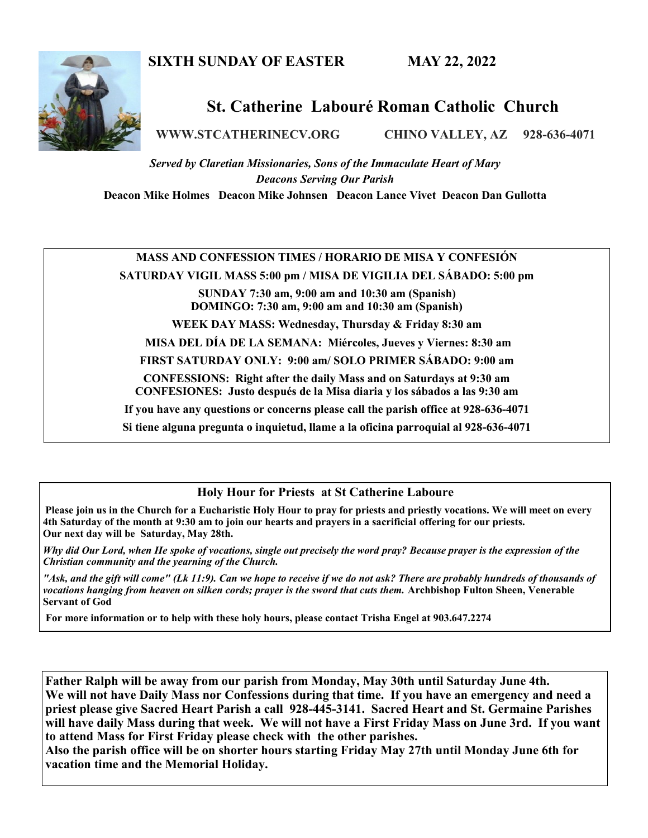## **SIXTH SUNDAY OF EASTER MAY 22, 2022**



## **St. Catherine Labouré Roman Catholic Church**

**WWW.STCATHERINECV.ORG CHINO VALLEY, AZ 928-636-4071**

*Served by Claretian Missionaries, Sons of the Immaculate Heart of Mary Deacons Serving Our Parish*

**Deacon Mike Holmes Deacon Mike Johnsen Deacon Lance Vivet Deacon Dan Gullotta**

## **MASS AND CONFESSION TIMES / HORARIO DE MISA Y CONFESIÓN**

**SATURDAY VIGIL MASS 5:00 pm / MISA DE VIGILIA DEL SÁBADO: 5:00 pm**

**SUNDAY 7:30 am, 9:00 am and 10:30 am (Spanish) DOMINGO: 7:30 am, 9:00 am and 10:30 am (Spanish)** 

**WEEK DAY MASS: Wednesday, Thursday & Friday 8:30 am**

**MISA DEL DÍA DE LA SEMANA: Miércoles, Jueves y Viernes: 8:30 am**

**FIRST SATURDAY ONLY: 9:00 am/ SOLO PRIMER SÁBADO: 9:00 am**

**CONFESSIONS: Right after the daily Mass and on Saturdays at 9:30 am CONFESIONES: Justo después de la Misa diaria y los sábados a las 9:30 am**

**If you have any questions or concerns please call the parish office at 928-636-4071**

**Si tiene alguna pregunta o inquietud, llame a la oficina parroquial al 928-636-4071**

## **Holy Hour for Priests at St Catherine Laboure**

**Please join us in the Church for a Eucharistic Holy Hour to pray for priests and priestly vocations. We will meet on every 4th Saturday of the month at 9:30 am to join our hearts and prayers in a sacrificial offering for our priests. Our next day will be Saturday, May 28th.** 

*Why did Our Lord, when He spoke of vocations, single out precisely the word pray? Because prayer is the expression of the Christian community and the yearning of the Church.*

*"Ask, and the gift will come" (Lk 11:9). Can we hope to receive if we do not ask? There are probably hundreds of thousands of vocations hanging from heaven on silken cords; prayer is the sword that cuts them.* **Archbishop Fulton Sheen, Venerable Servant of God** 

**For more information or to help with these holy hours, please contact Trisha Engel at 903.647.2274**

**Father Ralph will be away from our parish from Monday, May 30th until Saturday June 4th. We will not have Daily Mass nor Confessions during that time. If you have an emergency and need a priest please give Sacred Heart Parish a call 928-445-3141. Sacred Heart and St. Germaine Parishes will have daily Mass during that week. We will not have a First Friday Mass on June 3rd. If you want to attend Mass for First Friday please check with the other parishes.** 

**Also the parish office will be on shorter hours starting Friday May 27th until Monday June 6th for vacation time and the Memorial Holiday.**